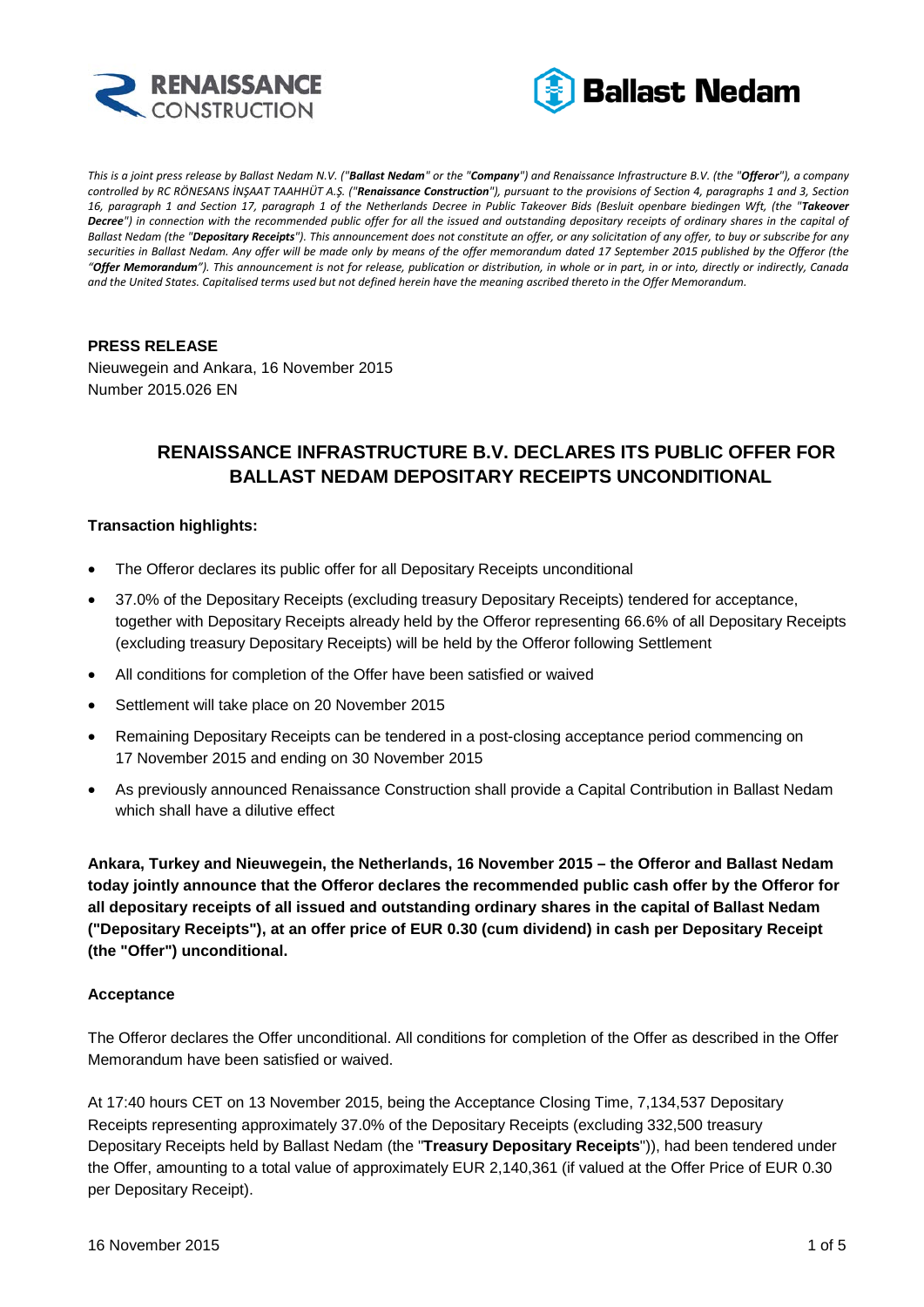



*This is a joint press release by Ballast Nedam N.V. ("Ballast Nedam" or the "Company") and Renaissance Infrastructure B.V. (the "Offeror"), a company controlled by RC RÖNESANS İNŞAAT TAAHHÜT A.Ş. ("Renaissance Construction"), pursuant to the provisions of Section 4, paragraphs 1 and 3, Section 16, paragraph 1 and Section 17, paragraph 1 of the Netherlands Decree in Public Takeover Bids (Besluit openbare biedingen Wft, (the "Takeover Decree") in connection with the recommended public offer for all the issued and outstanding depositary receipts of ordinary shares in the capital of Ballast Nedam (the "Depositary Receipts"). This announcement does not constitute an offer, or any solicitation of any offer, to buy or subscribe for any securities in Ballast Nedam. Any offer will be made only by means of the offer memorandum dated 17 September 2015 published by the Offeror (the "Offer Memorandum"). This announcement is not for release, publication or distribution, in whole or in part, in or into, directly or indirectly, Canada and the United States. Capitalised terms used but not defined herein have the meaning ascribed thereto in the Offer Memorandum.*

# **PRESS RELEASE**

Nieuwegein and Ankara, 16 November 2015 Number 2015.026 EN

# **RENAISSANCE INFRASTRUCTURE B.V. DECLARES ITS PUBLIC OFFER FOR BALLAST NEDAM DEPOSITARY RECEIPTS UNCONDITIONAL**

# **Transaction highlights:**

- The Offeror declares its public offer for all Depositary Receipts unconditional
- 37.0% of the Depositary Receipts (excluding treasury Depositary Receipts) tendered for acceptance, together with Depositary Receipts already held by the Offeror representing 66.6% of all Depositary Receipts (excluding treasury Depositary Receipts) will be held by the Offeror following Settlement
- All conditions for completion of the Offer have been satisfied or waived
- Settlement will take place on 20 November 2015
- Remaining Depositary Receipts can be tendered in a post-closing acceptance period commencing on 17 November 2015 and ending on 30 November 2015
- As previously announced Renaissance Construction shall provide a Capital Contribution in Ballast Nedam which shall have a dilutive effect

**Ankara, Turkey and Nieuwegein, the Netherlands, 16 November 2015 – the Offeror and Ballast Nedam today jointly announce that the Offeror declares the recommended public cash offer by the Offeror for all depositary receipts of all issued and outstanding ordinary shares in the capital of Ballast Nedam ("Depositary Receipts"), at an offer price of EUR 0.30 (cum dividend) in cash per Depositary Receipt (the "Offer") unconditional.**

#### **Acceptance**

The Offeror declares the Offer unconditional. All conditions for completion of the Offer as described in the Offer Memorandum have been satisfied or waived.

At 17:40 hours CET on 13 November 2015, being the Acceptance Closing Time, 7,134,537 Depositary Receipts representing approximately 37.0% of the Depositary Receipts (excluding 332,500 treasury Depositary Receipts held by Ballast Nedam (the "**Treasury Depositary Receipts**")), had been tendered under the Offer, amounting to a total value of approximately EUR 2,140,361 (if valued at the Offer Price of EUR 0.30 per Depositary Receipt).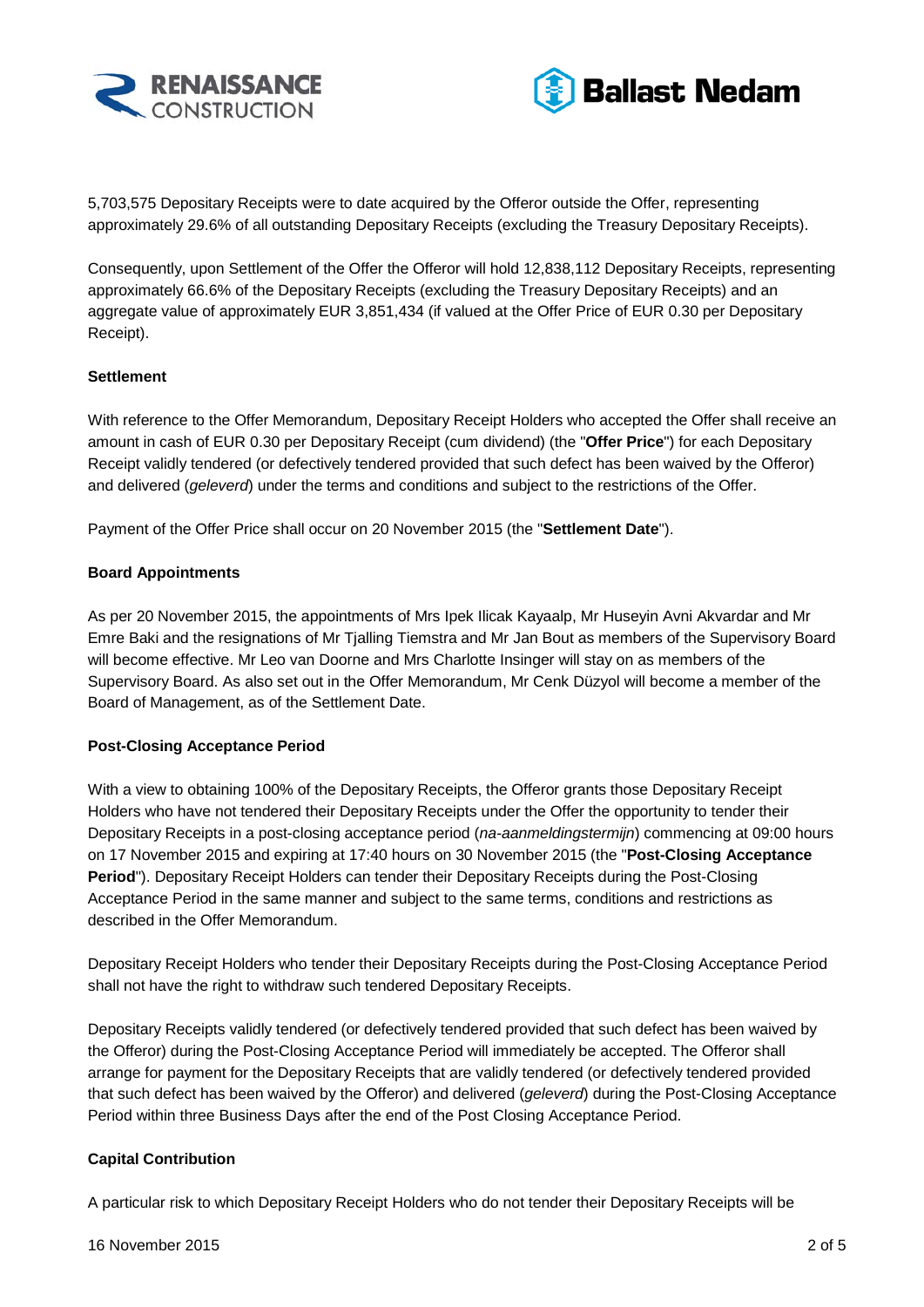



5,703,575 Depositary Receipts were to date acquired by the Offeror outside the Offer, representing approximately 29.6% of all outstanding Depositary Receipts (excluding the Treasury Depositary Receipts).

Consequently, upon Settlement of the Offer the Offeror will hold 12,838,112 Depositary Receipts, representing approximately 66.6% of the Depositary Receipts (excluding the Treasury Depositary Receipts) and an aggregate value of approximately EUR 3,851,434 (if valued at the Offer Price of EUR 0.30 per Depositary Receipt).

#### **Settlement**

With reference to the Offer Memorandum, Depositary Receipt Holders who accepted the Offer shall receive an amount in cash of EUR 0.30 per Depositary Receipt (cum dividend) (the "**Offer Price**") for each Depositary Receipt validly tendered (or defectively tendered provided that such defect has been waived by the Offeror) and delivered (*geleverd*) under the terms and conditions and subject to the restrictions of the Offer.

Payment of the Offer Price shall occur on 20 November 2015 (the "**Settlement Date**").

#### **Board Appointments**

As per 20 November 2015, the appointments of Mrs Ipek Ilicak Kayaalp, Mr Huseyin Avni Akvardar and Mr Emre Baki and the resignations of Mr Tjalling Tiemstra and Mr Jan Bout as members of the Supervisory Board will become effective. Mr Leo van Doorne and Mrs Charlotte Insinger will stay on as members of the Supervisory Board. As also set out in the Offer Memorandum, Mr Cenk Düzyol will become a member of the Board of Management, as of the Settlement Date.

# **Post-Closing Acceptance Period**

With a view to obtaining 100% of the Depositary Receipts, the Offeror grants those Depositary Receipt Holders who have not tendered their Depositary Receipts under the Offer the opportunity to tender their Depositary Receipts in a post-closing acceptance period (*na-aanmeldingstermijn*) commencing at 09:00 hours on 17 November 2015 and expiring at 17:40 hours on 30 November 2015 (the "**Post-Closing Acceptance Period**"). Depositary Receipt Holders can tender their Depositary Receipts during the Post-Closing Acceptance Period in the same manner and subject to the same terms, conditions and restrictions as described in the Offer Memorandum.

Depositary Receipt Holders who tender their Depositary Receipts during the Post-Closing Acceptance Period shall not have the right to withdraw such tendered Depositary Receipts.

Depositary Receipts validly tendered (or defectively tendered provided that such defect has been waived by the Offeror) during the Post-Closing Acceptance Period will immediately be accepted. The Offeror shall arrange for payment for the Depositary Receipts that are validly tendered (or defectively tendered provided that such defect has been waived by the Offeror) and delivered (*geleverd*) during the Post-Closing Acceptance Period within three Business Days after the end of the Post Closing Acceptance Period.

#### **Capital Contribution**

A particular risk to which Depositary Receipt Holders who do not tender their Depositary Receipts will be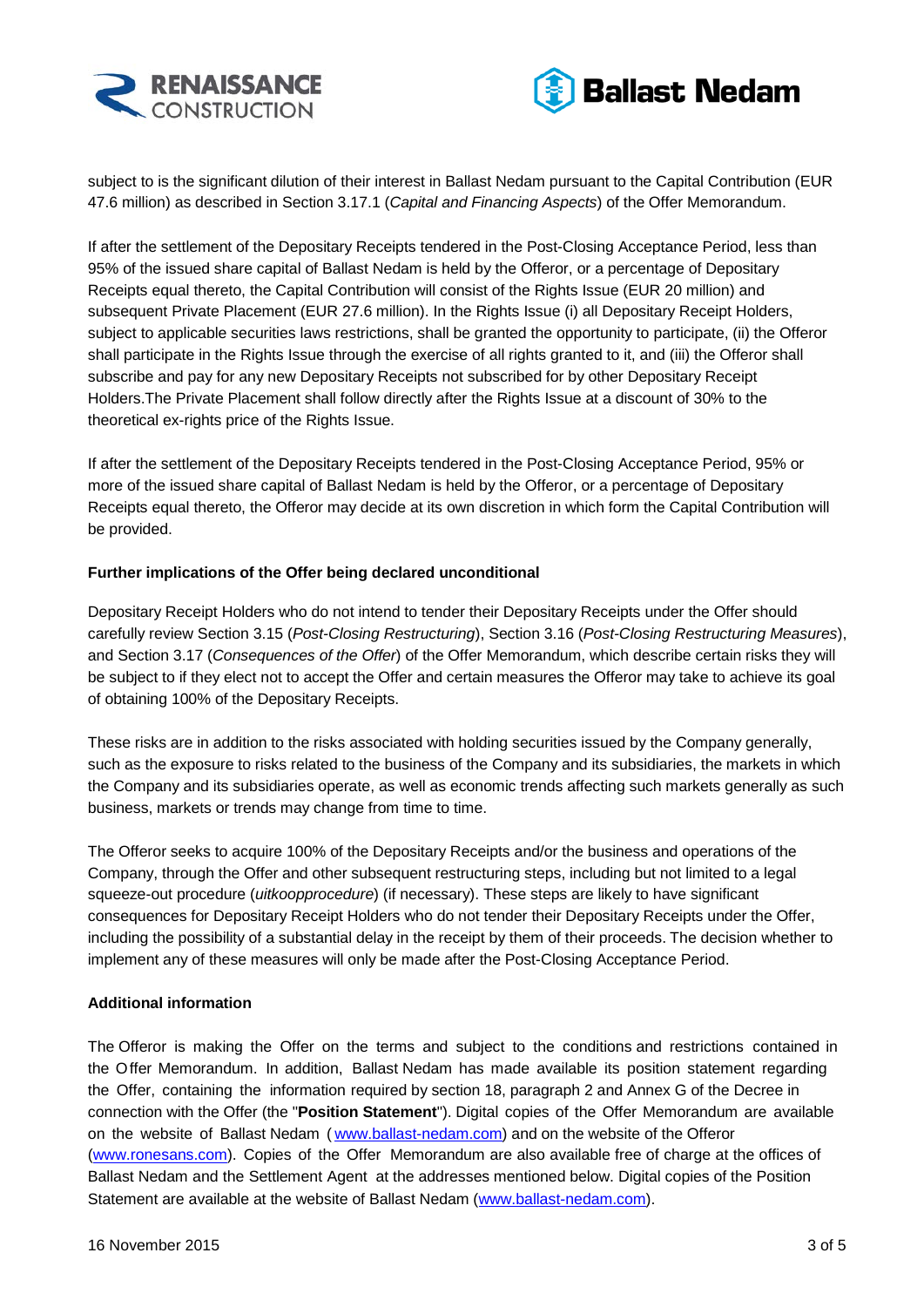



subject to is the significant dilution of their interest in Ballast Nedam pursuant to the Capital Contribution (EUR 47.6 million) as described in Section 3.17.1 (*Capital and Financing Aspects*) of the Offer Memorandum.

If after the settlement of the Depositary Receipts tendered in the Post-Closing Acceptance Period, less than 95% of the issued share capital of Ballast Nedam is held by the Offeror, or a percentage of Depositary Receipts equal thereto, the Capital Contribution will consist of the Rights Issue (EUR 20 million) and subsequent Private Placement (EUR 27.6 million). In the Rights Issue (i) all Depositary Receipt Holders, subject to applicable securities laws restrictions, shall be granted the opportunity to participate, (ii) the Offeror shall participate in the Rights Issue through the exercise of all rights granted to it, and (iii) the Offeror shall subscribe and pay for any new Depositary Receipts not subscribed for by other Depositary Receipt Holders.The Private Placement shall follow directly after the Rights Issue at a discount of 30% to the theoretical ex-rights price of the Rights Issue.

If after the settlement of the Depositary Receipts tendered in the Post-Closing Acceptance Period, 95% or more of the issued share capital of Ballast Nedam is held by the Offeror, or a percentage of Depositary Receipts equal thereto, the Offeror may decide at its own discretion in which form the Capital Contribution will be provided.

#### **Further implications of the Offer being declared unconditional**

Depositary Receipt Holders who do not intend to tender their Depositary Receipts under the Offer should carefully review Section 3.15 (*Post-Closing Restructuring*), Section 3.16 (*Post-Closing Restructuring Measures*), and Section 3.17 (*Consequences of the Offer*) of the Offer Memorandum, which describe certain risks they will be subject to if they elect not to accept the Offer and certain measures the Offeror may take to achieve its goal of obtaining 100% of the Depositary Receipts.

These risks are in addition to the risks associated with holding securities issued by the Company generally, such as the exposure to risks related to the business of the Company and its subsidiaries, the markets in which the Company and its subsidiaries operate, as well as economic trends affecting such markets generally as such business, markets or trends may change from time to time.

The Offeror seeks to acquire 100% of the Depositary Receipts and/or the business and operations of the Company, through the Offer and other subsequent restructuring steps, including but not limited to a legal squeeze-out procedure (*uitkoopprocedure*) (if necessary). These steps are likely to have significant consequences for Depositary Receipt Holders who do not tender their Depositary Receipts under the Offer, including the possibility of a substantial delay in the receipt by them of their proceeds. The decision whether to implement any of these measures will only be made after the Post-Closing Acceptance Period.

# **Additional information**

The Offeror is making the Offer on the terms and subject to the conditions and restrictions contained in the Offer Memorandum. In addition, Ballast Nedam has made available its position statement regarding the Offer, containing the information required by section 18, paragraph 2 and Annex G of the Decree in connection with the Offer (the "**Position Statement**"). Digital copies of the Offer Memorandum are available on the website of Ballast Nedam ( [www.ballast-nedam.com\)](http://www.ballast-nedam.com/) and on the website of the Offeror [\(www.ronesans.com\)](http://www.ronesans.com/). Copies of the Offer Memorandum are also available free of charge at the offices of Ballast Nedam and the Settlement Agent at the addresses mentioned below. Digital copies of the Position Statement are available at the website of Ballast Nedam [\(www.ballast-nedam.com\)](http://www.ballast-nedam.com/).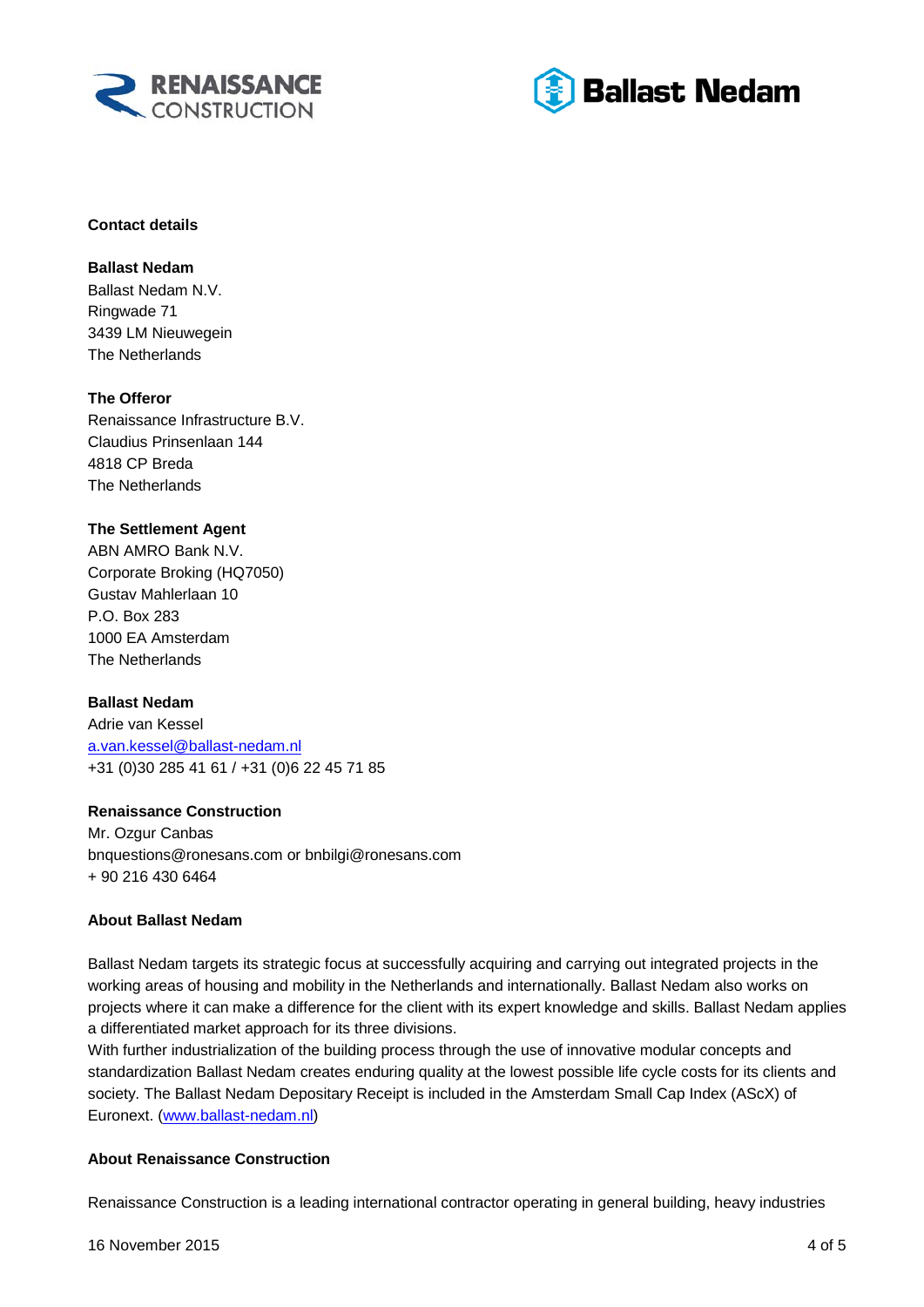



#### **Contact details**

**Ballast Nedam** Ballast Nedam N.V. Ringwade 71 3439 LM Nieuwegein The Netherlands

# **The Offeror**

Renaissance Infrastructure B.V. Claudius Prinsenlaan 144 4818 CP Breda The Netherlands

# **The Settlement Agent**

ABN AMRO Bank N.V. Corporate Broking (HQ7050) Gustav Mahlerlaan 10 P.O. Box 283 1000 EA Amsterdam The Netherlands

# **Ballast Nedam**

Adrie van Kessel [a.van.kessel@ballast-nedam.nl](mailto:a.van.kessel@ballast-nedam.nl) +31 (0)30 285 41 61 / +31 (0)6 22 45 71 85

# **Renaissance Construction**

Mr. Ozgur Canbas bnquestions@ronesans.com or bnbilgi@ronesans.com + 90 216 430 6464

# **About Ballast Nedam**

Ballast Nedam targets its strategic focus at successfully acquiring and carrying out integrated projects in the working areas of housing and mobility in the Netherlands and internationally. Ballast Nedam also works on projects where it can make a difference for the client with its expert knowledge and skills. Ballast Nedam applies a differentiated market approach for its three divisions.

With further industrialization of the building process through the use of innovative modular concepts and standardization Ballast Nedam creates enduring quality at the lowest possible life cycle costs for its clients and society. The Ballast Nedam Depositary Receipt is included in the Amsterdam Small Cap Index (AScX) of Euronext. [\(www.ballast-nedam.nl\)](http://www.ballast-nedam.nl/)

# **About Renaissance Construction**

Renaissance Construction is a leading international contractor operating in general building, heavy industries